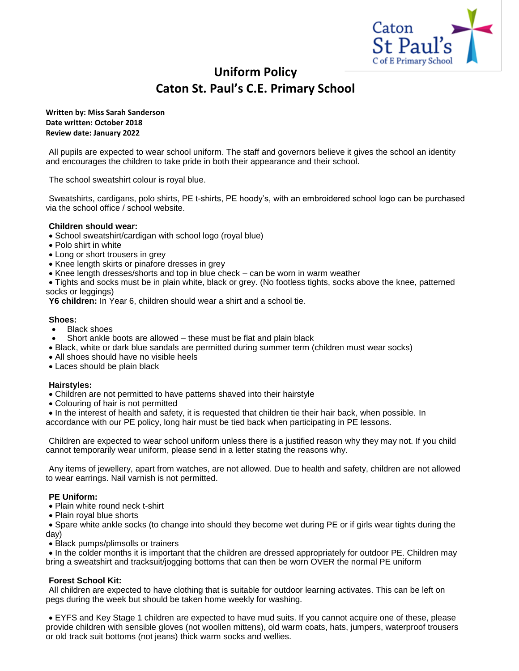

# **Uniform Policy Caton St. Paul's C.E. Primary School**

**Written by: Miss Sarah Sanderson Date written: October 2018 Review date: January 2022**

All pupils are expected to wear school uniform. The staff and governors believe it gives the school an identity and encourages the children to take pride in both their appearance and their school.

The school sweatshirt colour is royal blue.

Sweatshirts, cardigans, polo shirts, PE t-shirts, PE hoody's, with an embroidered school logo can be purchased via the school office / school website.

## **Children should wear:**

- School sweatshirt/cardigan with school logo (royal blue)
- Polo shirt in white
- Long or short trousers in grey
- Knee length skirts or pinafore dresses in grey
- Knee length dresses/shorts and top in blue check can be worn in warm weather
- Tights and socks must be in plain white, black or grey. (No footless tights, socks above the knee, patterned socks or leggings)

**Y6 children:** In Year 6, children should wear a shirt and a school tie.

## **Shoes:**

- **Black shoes**
- Short ankle boots are allowed these must be flat and plain black
- Black, white or dark blue sandals are permitted during summer term (children must wear socks)
- All shoes should have no visible heels
- Laces should be plain black

#### **Hairstyles:**

- Children are not permitted to have patterns shaved into their hairstyle
- Colouring of hair is not permitted
- In the interest of health and safety, it is requested that children tie their hair back, when possible. In

accordance with our PE policy, long hair must be tied back when participating in PE lessons.

Children are expected to wear school uniform unless there is a justified reason why they may not. If you child cannot temporarily wear uniform, please send in a letter stating the reasons why.

Any items of jewellery, apart from watches, are not allowed. Due to health and safety, children are not allowed to wear earrings. Nail varnish is not permitted.

# **PE Uniform:**

- Plain white round neck t-shirt
- Plain royal blue shorts

• Spare white ankle socks (to change into should they become wet during PE or if girls wear tights during the day)

• Black pumps/plimsolls or trainers

• In the colder months it is important that the children are dressed appropriately for outdoor PE. Children may bring a sweatshirt and tracksuit/jogging bottoms that can then be worn OVER the normal PE uniform

# **Forest School Kit:**

All children are expected to have clothing that is suitable for outdoor learning activates. This can be left on pegs during the week but should be taken home weekly for washing.

• EYFS and Key Stage 1 children are expected to have mud suits. If you cannot acquire one of these, please provide children with sensible gloves (not woollen mittens), old warm coats, hats, jumpers, waterproof trousers or old track suit bottoms (not jeans) thick warm socks and wellies.